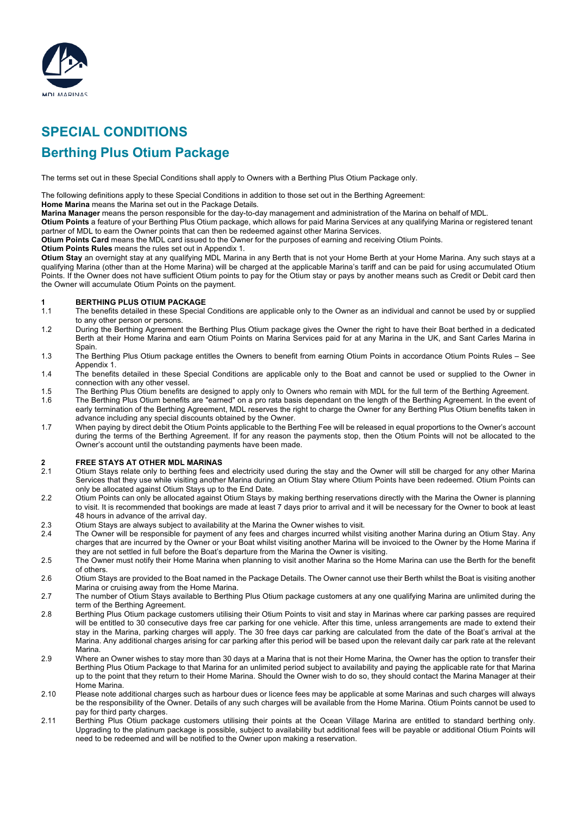

# **SPECIAL CONDITIONS Berthing Plus Otium Package**

The terms set out in these Special Conditions shall apply to Owners with a Berthing Plus Otium Package only.

The following definitions apply to these Special Conditions in addition to those set out in the Berthing Agreement:

**Home Marina** means the Marina set out in the Package Details.

**Marina Manager** means the person responsible for the day-to-day management and administration of the Marina on behalf of MDL.

**Otium Points** a feature of your Berthing Plus Otium package, which allows for paid Marina Services at any qualifying Marina or registered tenant partner of MDL to earn the Owner points that can then be redeemed against other Marina Services.

**Otium Points Card** means the MDL card issued to the Owner for the purposes of earning and receiving Otium Points.

**Otium Points Rules** means the rules set out in Appendix 1.

**Otium Stay** an overnight stay at any qualifying MDL Marina in any Berth that is not your Home Berth at your Home Marina. Any such stays at a qualifying Marina (other than at the Home Marina) will be charged at the applicable Marina's tariff and can be paid for using accumulated Otium Points. If the Owner does not have sufficient Otium points to pay for the Otium stay or pays by another means such as Credit or Debit card then the Owner will accumulate Otium Points on the payment.

#### **1 BERTHING PLUS OTIUM PACKAGE**

- 1.1 The benefits detailed in these Special Conditions are applicable only to the Owner as an individual and cannot be used by or supplied to any other person or persons.
- 1.2 During the Berthing Agreement the Berthing Plus Otium package gives the Owner the right to have their Boat berthed in a dedicated Berth at their Home Marina and earn Otium Points on Marina Services paid for at any Marina in the UK, and Sant Carles Marina in Spain.
- 1.3 The Berthing Plus Otium package entitles the Owners to benefit from earning Otium Points in accordance Otium Points Rules See Appendix 1.
- 1.4 The benefits detailed in these Special Conditions are applicable only to the Boat and cannot be used or supplied to the Owner in connection with any other vessel.
- 1.5 The Berthing Plus Otium benefits are designed to apply only to Owners who remain with MDL for the full term of the Berthing Agreement.
- 1.6 The Berthing Plus Otium benefits are "earned" on a pro rata basis dependant on the length of the Berthing Agreement. In the event of early termination of the Berthing Agreement, MDL reserves the right to charge the Owner for any Berthing Plus Otium benefits taken in advance including any special discounts obtained by the Owner.
- 1.7 When paying by direct debit the Otium Points applicable to the Berthing Fee will be released in equal proportions to the Owner's account during the terms of the Berthing Agreement. If for any reason the payments stop, then the Otium Points will not be allocated to the Owner's account until the outstanding payments have been made.

### **2 FREE STAYS AT OTHER MDL MARINAS**

- 2.1 Otium Stays relate only to berthing fees and electricity used during the stay and the Owner will still be charged for any other Marina Services that they use while visiting another Marina during an Otium Stay where Otium Points have been redeemed. Otium Points can only be allocated against Otium Stays up to the End Date.
- 2.2 Otium Points can only be allocated against Otium Stays by making berthing reservations directly with the Marina the Owner is planning to visit. It is recommended that bookings are made at least 7 days prior to arrival and it will be necessary for the Owner to book at least 48 hours in advance of the arrival day.
- 2.3 Otium Stays are always subject to availability at the Marina the Owner wishes to visit.
- 2.4 The Owner will be responsible for payment of any fees and charges incurred whilst visiting another Marina during an Otium Stay. Any charges that are incurred by the Owner or your Boat whilst visiting another Marina will be invoiced to the Owner by the Home Marina if they are not settled in full before the Boat's departure from the Marina the Owner is visiting.
- 2.5 The Owner must notify their Home Marina when planning to visit another Marina so the Home Marina can use the Berth for the benefit of others.
- 2.6 Otium Stays are provided to the Boat named in the Package Details. The Owner cannot use their Berth whilst the Boat is visiting another Marina or cruising away from the Home Marina.
- 2.7 The number of Otium Stays available to Berthing Plus Otium package customers at any one qualifying Marina are unlimited during the term of the Berthing Agreement.
- 2.8 Berthing Plus Otium package customers utilising their Otium Points to visit and stay in Marinas where car parking passes are required will be entitled to 30 consecutive days free car parking for one vehicle. After this time, unless arrangements are made to extend their stay in the Marina, parking charges will apply. The 30 free days car parking are calculated from the date of the Boat's arrival at the Marina. Any additional charges arising for car parking after this period will be based upon the relevant daily car park rate at the relevant Marina.
- 2.9 Where an Owner wishes to stay more than 30 days at a Marina that is not their Home Marina, the Owner has the option to transfer their Berthing Plus Otium Package to that Marina for an unlimited period subject to availability and paying the applicable rate for that Marina up to the point that they return to their Home Marina. Should the Owner wish to do so, they should contact the Marina Manager at their Home Marina.
- 2.10 Please note additional charges such as harbour dues or licence fees may be applicable at some Marinas and such charges will always be the responsibility of the Owner. Details of any such charges will be available from the Home Marina. Otium Points cannot be used to pay for third party charges.
- 2.11 Berthing Plus Otium package customers utilising their points at the Ocean Village Marina are entitled to standard berthing only. Upgrading to the platinum package is possible, subject to availability but additional fees will be payable or additional Otium Points will need to be redeemed and will be notified to the Owner upon making a reservation.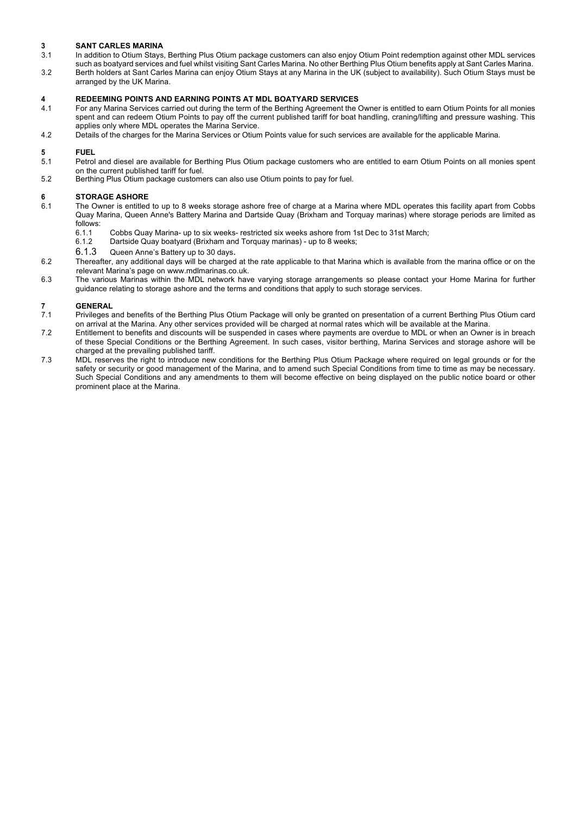- **3 SANT CARLES MARINA** In addition to Otium Stays, Berthing Plus Otium package customers can also enjoy Otium Point redemption against other MDL services such as boatyard services and fuel whilst visiting Sant Carles Marina. No other Berthing Plus Otium benefits apply at Sant Carles Marina.
- 3.2 Berth holders at Sant Carles Marina can enjoy Otium Stays at any Marina in the UK (subject to availability). Such Otium Stays must be arranged by the UK Marina.

### **4 REDEEMING POINTS AND EARNING POINTS AT MDL BOATYARD SERVICES**

- 4.1 For any Marina Services carried out during the term of the Berthing Agreement the Owner is entitled to earn Otium Points for all monies spent and can redeem Otium Points to pay off the current published tariff for boat handling, craning/lifting and pressure washing. This applies only where MDL operates the Marina Service.
- 4.2 Details of the charges for the Marina Services or Otium Points value for such services are available for the applicable Marina.

#### **5 FUEL**

- 5.1 Petrol and diesel are available for Berthing Plus Otium package customers who are entitled to earn Otium Points on all monies spent on the current published tariff for fuel.
- 5.2 Berthing Plus Otium package customers can also use Otium points to pay for fuel.

# **6 STORAGE ASHORE**

- The Owner is entitled to up to 8 weeks storage ashore free of charge at a Marina where MDL operates this facility apart from Cobbs Quay Marina, Queen Anne's Battery Marina and Dartside Quay (Brixham and Torquay marinas) where storage periods are limited as follows:
	- 6.1.1 Cobbs Quay Marina- up to six weeks- restricted six weeks ashore from 1st Dec to 31st March;
	- 6.1.2 Dartside Quay boatyard (Brixham and Torquay marinas) up to 8 weeks;
	- 6.1.3 Queen Anne's Battery up to 30 days.
- 6.2 Thereafter, any additional days will be charged at the rate applicable to that Marina which is available from the marina office or on the relevant Marina's page on www.mdlmarinas.co.uk.
- 6.3 The various Marinas within the MDL network have varying storage arrangements so please contact your Home Marina for further guidance relating to storage ashore and the terms and conditions that apply to such storage services.

### **7 GENERAL**<br> **7.1** Privileges

- Privileges and benefits of the Berthing Plus Otium Package will only be granted on presentation of a current Berthing Plus Otium card on arrival at the Marina. Any other services provided will be charged at normal rates which will be available at the Marina.
- 7.2 Entitlement to benefits and discounts will be suspended in cases where payments are overdue to MDL or when an Owner is in breach of these Special Conditions or the Berthing Agreement. In such cases, visitor berthing, Marina Services and storage ashore will be charged at the prevailing published tariff.
- 7.3 MDL reserves the right to introduce new conditions for the Berthing Plus Otium Package where required on legal grounds or for the safety or security or good management of the Marina, and to amend such Special Conditions from time to time as may be necessary. Such Special Conditions and any amendments to them will become effective on being displayed on the public notice board or other prominent place at the Marina.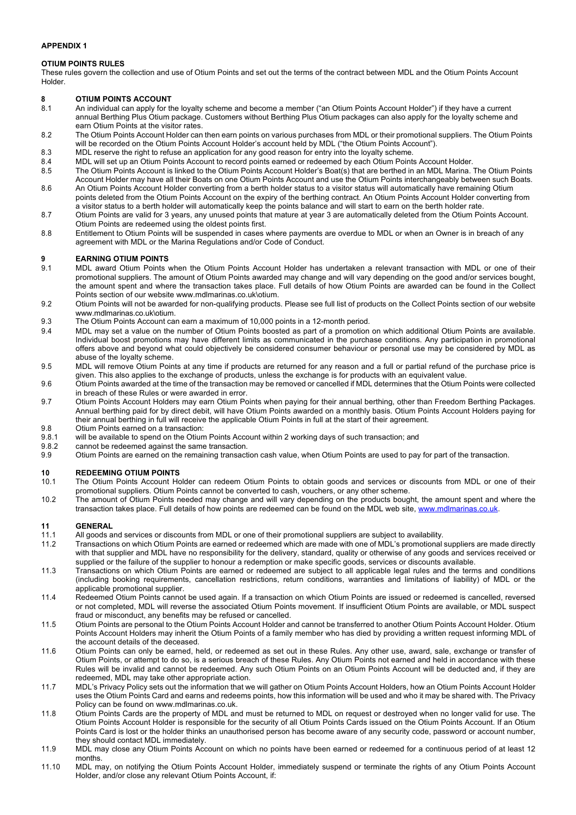### **APPENDIX 1**

### **OTIUM POINTS RULES**

These rules govern the collection and use of Otium Points and set out the terms of the contract between MDL and the Otium Points Account Holder.

### **8 OTIUM POINTS ACCOUNT**

- 8.1 An individual can apply for the loyalty scheme and become a member ("an Otium Points Account Holder") if they have a current annual Berthing Plus Otium package. Customers without Berthing Plus Otium packages can also apply for the loyalty scheme and earn Otium Points at the visitor rates.
- 8.2 The Otium Points Account Holder can then earn points on various purchases from MDL or their promotional suppliers. The Otium Points will be recorded on the Otium Points Account Holder's account held by MDL ("the Otium Points Account").
- 8.3 MDL reserve the right to refuse an application for any good reason for entry into the loyalty scheme.
- 8.4 MDL will set up an Otium Points Account to record points earned or redeemed by each Otium Points Account Holder.
- 8.5 The Otium Points Account is linked to the Otium Points Account Holder's Boat(s) that are berthed in an MDL Marina. The Otium Points Account Holder may have all their Boats on one Otium Points Account and use the Otium Points interchangeably between such Boats. 8.6 An Otium Points Account Holder converting from a berth holder status to a visitor status will automatically have remaining Otium
- points deleted from the Otium Points Account on the expiry of the berthing contract. An Otium Points Account Holder converting from a visitor status to a berth holder will automatically keep the points balance and will start to earn on the berth holder rate.
- 8.7 Otium Points are valid for 3 years, any unused points that mature at year 3 are automatically deleted from the Otium Points Account. Otium Points are redeemed using the oldest points first.
- 8.8 Entitlement to Otium Points will be suspended in cases where payments are overdue to MDL or when an Owner is in breach of any agreement with MDL or the Marina Regulations and/or Code of Conduct.

### **9 EARNING OTIUM POINTS**

- 9.1 MDL award Otium Points when the Otium Points Account Holder has undertaken a relevant transaction with MDL or one of their promotional suppliers. The amount of Otium Points awarded may change and will vary depending on the good and/or services bought, the amount spent and where the transaction takes place. Full details of how Otium Points are awarded can be found in the Collect Points section of our website www.mdlmarinas.co.uk\otium.
- 9.2 Otium Points will not be awarded for non-qualifying products. Please see full list of products on the Collect Points section of our website www.mdlmarinas.co.uk\otium.
- 9.3 The Otium Points Account can earn a maximum of 10,000 points in a 12-month period.
- 9.4 MDL may set a value on the number of Otium Points boosted as part of a promotion on which additional Otium Points are available. Individual boost promotions may have different limits as communicated in the purchase conditions. Any participation in promotional offers above and beyond what could objectively be considered consumer behaviour or personal use may be considered by MDL as abuse of the loyalty scheme.
- 9.5 MDL will remove Otium Points at any time if products are returned for any reason and a full or partial refund of the purchase price is given. This also applies to the exchange of products, unless the exchange is for products with an equivalent value.
- 9.6 Otium Points awarded at the time of the transaction may be removed or cancelled if MDL determines that the Otium Points were collected in breach of these Rules or were awarded in error.
- 9.7 Otium Points Account Holders may earn Otium Points when paying for their annual berthing, other than Freedom Berthing Packages. Annual berthing paid for by direct debit, will have Otium Points awarded on a monthly basis. Otium Points Account Holders paying for their annual berthing in full will receive the applicable Otium Points in full at the start of their agreement.
- 9.8 Otium Points earned on a transaction:<br>9.8.1 will be available to spend on the Otium
- will be available to spend on the Otium Points Account within 2 working days of such transaction; and
- 9.8.2 cannot be redeemed against the same transaction.
- 9.9 Otium Points are earned on the remaining transaction cash value, when Otium Points are used to pay for part of the transaction.

### **10 REDEEMING OTIUM POINTS**

- 10.1 The Otium Points Account Holder can redeem Otium Points to obtain goods and services or discounts from MDL or one of their promotional suppliers. Otium Points cannot be converted to cash, vouchers, or any other scheme.
- 10.2 The amount of Otium Points needed may change and will vary depending on the products bought, the amount spent and where the transaction takes place. Full details of how points are redeemed can be found on the MDL web site, www.mdlmarinas.co.uk.

- 11.1 All goods and services or discounts from MDL or one of their promotional suppliers are subject to availability.
- 11.2 Transactions on which Otium Points are earned or redeemed which are made with one of MDL's promotional suppliers are made directly with that supplier and MDL have no responsibility for the delivery, standard, quality or otherwise of any goods and services received or supplied or the failure of the supplier to honour a redemption or make specific goods, services or discounts available.
- 11.3 Transactions on which Otium Points are earned or redeemed are subject to all applicable legal rules and the terms and conditions (including booking requirements, cancellation restrictions, return conditions, warranties and limitations of liability) of MDL or the applicable promotional supplier.
- 11.4 Redeemed Otium Points cannot be used again. If a transaction on which Otium Points are issued or redeemed is cancelled, reversed or not completed, MDL will reverse the associated Otium Points movement. If insufficient Otium Points are available, or MDL suspect fraud or misconduct, any benefits may be refused or cancelled.
- 11.5 Otium Points are personal to the Otium Points Account Holder and cannot be transferred to another Otium Points Account Holder. Otium Points Account Holders may inherit the Otium Points of a family member who has died by providing a written request informing MDL of the account details of the deceased.
- 11.6 Otium Points can only be earned, held, or redeemed as set out in these Rules. Any other use, award, sale, exchange or transfer of Otium Points, or attempt to do so, is a serious breach of these Rules. Any Otium Points not earned and held in accordance with these Rules will be invalid and cannot be redeemed. Any such Otium Points on an Otium Points Account will be deducted and, if they are redeemed, MDL may take other appropriate action.
- 11.7 MDL's Privacy Policy sets out the information that we will gather on Otium Points Account Holders, how an Otium Points Account Holder uses the Otium Points Card and earns and redeems points, how this information will be used and who it may be shared with. The Privacy Policy can be found on www.mdlmarinas.co.uk.
- 11.8 Otium Points Cards are the property of MDL and must be returned to MDL on request or destroyed when no longer valid for use. The Otium Points Account Holder is responsible for the security of all Otium Points Cards issued on the Otium Points Account. If an Otium Points Card is lost or the holder thinks an unauthorised person has become aware of any security code, password or account number, they should contact MDL immediately.
- 11.9 MDL may close any Otium Points Account on which no points have been earned or redeemed for a continuous period of at least 12 months.
- 11.10 MDL may, on notifying the Otium Points Account Holder, immediately suspend or terminate the rights of any Otium Points Account Holder, and/or close any relevant Otium Points Account, if: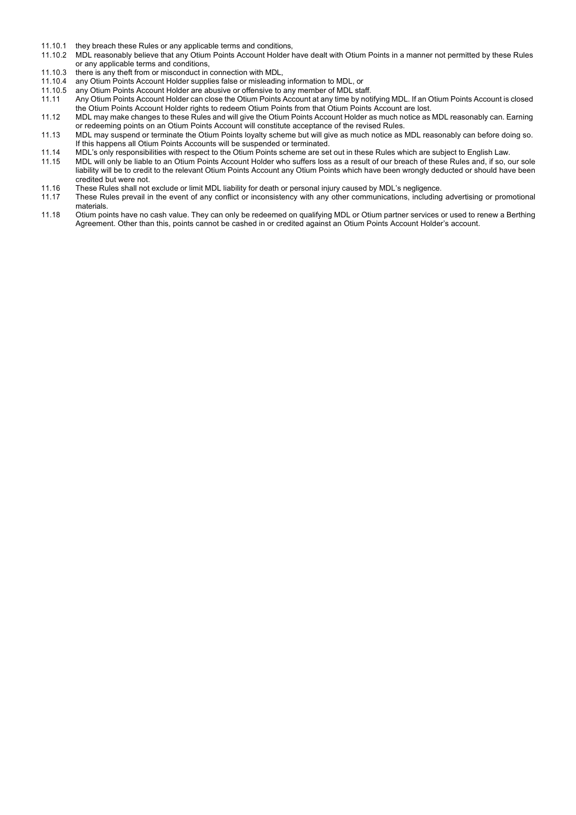- 11.10.1 they breach these Rules or any applicable terms and conditions,
- 11.10.2 MDL reasonably believe that any Otium Points Account Holder have dealt with Otium Points in a manner not permitted by these Rules or any applicable terms and conditions,
- 11.10.3 there is any theft from or misconduct in connection with MDL,<br>11.10.4 any Otium Points Account Holder supplies false or misleading
- 11.10.4 any Otium Points Account Holder supplies false or misleading information to MDL, or 11.10.5 any Otium Points Account Holder are abusive or offensive to any member of MDL sta
- any Otium Points Account Holder are abusive or offensive to any member of MDL staff.
- 11.11 Any Otium Points Account Holder can close the Otium Points Account at any time by notifying MDL. If an Otium Points Account is closed the Otium Points Account Holder rights to redeem Otium Points from that Otium Points Account are lost.
- 11.12 MDL may make changes to these Rules and will give the Otium Points Account Holder as much notice as MDL reasonably can. Earning or redeeming points on an Otium Points Account will constitute acceptance of the revised Rules.
- 11.13 MDL may suspend or terminate the Otium Points loyalty scheme but will give as much notice as MDL reasonably can before doing so. If this happens all Otium Points Accounts will be suspended or terminated.
- 11.14 MDL's only responsibilities with respect to the Otium Points scheme are set out in these Rules which are subject to English Law.<br>11.15 MDL will only be liable to an Otium Points Account Holder who suffers loss as a r
- MDL will only be liable to an Otium Points Account Holder who suffers loss as a result of our breach of these Rules and, if so, our sole liability will be to credit to the relevant Otium Points Account any Otium Points which have been wrongly deducted or should have been credited but were not.
- 11.16 These Rules shall not exclude or limit MDL liability for death or personal injury caused by MDL's negligence.<br>11.17 These Rules prevail in the event of any conflict or inconsistency with any other communications, inc
- These Rules prevail in the event of any conflict or inconsistency with any other communications, including advertising or promotional materials.
- 11.18 Otium points have no cash value. They can only be redeemed on qualifying MDL or Otium partner services or used to renew a Berthing Agreement. Other than this, points cannot be cashed in or credited against an Otium Points Account Holder's account.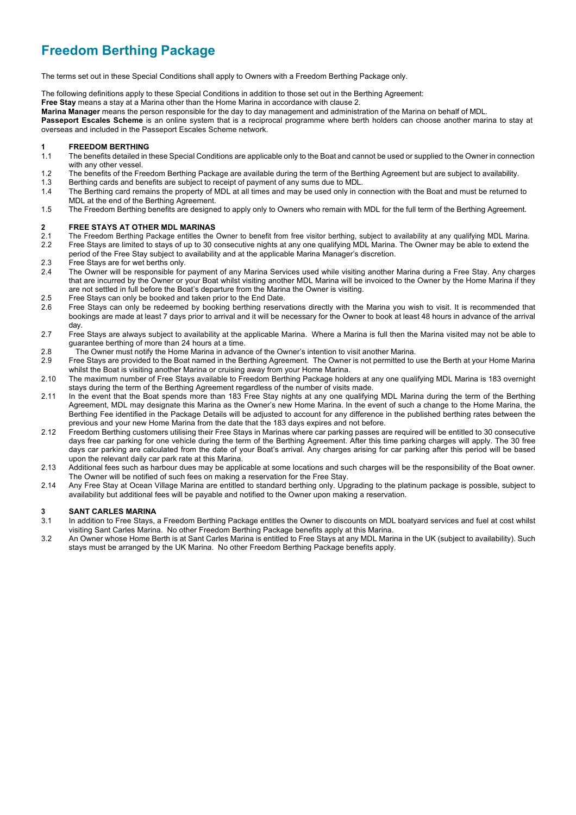## **Freedom Berthing Package**

The terms set out in these Special Conditions shall apply to Owners with a Freedom Berthing Package only.

The following definitions apply to these Special Conditions in addition to those set out in the Berthing Agreement:

**Free Stay** means a stay at a Marina other than the Home Marina in accordance with clause 2.

**Marina Manager** means the person responsible for the day to day management and administration of the Marina on behalf of MDL.

**Passeport Escales Scheme** is an online system that is a reciprocal programme where berth holders can choose another marina to stay at overseas and included in the Passeport Escales Scheme network.

#### **1 FREEDOM BERTHING**

- 1.1 The benefits detailed in these Special Conditions are applicable only to the Boat and cannot be used or supplied to the Owner in connection with any other vessel.
- 1.2 The benefits of the Freedom Berthing Package are available during the term of the Berthing Agreement but are subject to availability.<br>1.3 Berthing cards and benefits are subject to receipt of payment of any sums due to
- Berthing cards and benefits are subject to receipt of payment of any sums due to MDL.
- 1.4 The Berthing card remains the property of MDL at all times and may be used only in connection with the Boat and must be returned to MDL at the end of the Berthing Agreement.
- 1.5 The Freedom Berthing benefits are designed to apply only to Owners who remain with MDL for the full term of the Berthing Agreement.

#### **2 FREE STAYS AT OTHER MDL MARINAS**

- 2.1 The Freedom Berthing Package entitles the Owner to benefit from free visitor berthing, subject to availability at any qualifying MDL Marina. 2.2 Free Stays are limited to stays of up to 30 consecutive nights at any one qualifying MDL Marina. The Owner may be able to extend the
- period of the Free Stay subject to availability and at the applicable Marina Manager's discretion.
- 2.3 Free Stays are for wet berths only.<br>2.4 The Owner will be responsible for
- The Owner will be responsible for payment of any Marina Services used while visiting another Marina during a Free Stay. Any charges that are incurred by the Owner or your Boat whilst visiting another MDL Marina will be invoiced to the Owner by the Home Marina if they are not settled in full before the Boat's departure from the Marina the Owner is visiting.
- 2.5 Free Stays can only be booked and taken prior to the End Date.<br>2.6 Free Stays can only be redeemed by booking berthing reserva
- 2.6 Free Stays can only be redeemed by booking berthing reservations directly with the Marina you wish to visit. It is recommended that bookings are made at least 7 days prior to arrival and it will be necessary for the Owner to book at least 48 hours in advance of the arrival day.
- 2.7 Free Stays are always subject to availability at the applicable Marina. Where a Marina is full then the Marina visited may not be able to guarantee berthing of more than 24 hours at a time.
- 2.8 The Owner must notify the Home Marina in advance of the Owner's intention to visit another Marina.
- 2.9 Free Stays are provided to the Boat named in the Berthing Agreement. The Owner is not permitted to use the Berth at your Home Marina whilst the Boat is visiting another Marina or cruising away from your Home Marina.
- 2.10 The maximum number of Free Stays available to Freedom Berthing Package holders at any one qualifying MDL Marina is 183 overnight stays during the term of the Berthing Agreement regardless of the number of visits made.
- 2.11 In the event that the Boat spends more than 183 Free Stay nights at any one qualifying MDL Marina during the term of the Berthing Agreement, MDL may designate this Marina as the Owner's new Home Marina. In the event of such a change to the Home Marina, the Berthing Fee identified in the Package Details will be adjusted to account for any difference in the published berthing rates between the previous and your new Home Marina from the date that the 183 days expires and not before.
- 2.12 Freedom Berthing customers utilising their Free Stays in Marinas where car parking passes are required will be entitled to 30 consecutive days free car parking for one vehicle during the term of the Berthing Agreement. After this time parking charges will apply. The 30 free days car parking are calculated from the date of your Boat's arrival. Any charges arising for car parking after this period will be based upon the relevant daily car park rate at this Marina.
- 2.13 Additional fees such as harbour dues may be applicable at some locations and such charges will be the responsibility of the Boat owner. The Owner will be notified of such fees on making a reservation for the Free Stay.
- 2.14 Any Free Stay at Ocean Village Marina are entitled to standard berthing only. Upgrading to the platinum package is possible, subject to availability but additional fees will be payable and notified to the Owner upon making a reservation.

#### **3 SANT CARLES MARINA**

- 3.1 In addition to Free Stays, a Freedom Berthing Package entitles the Owner to discounts on MDL boatyard services and fuel at cost whilst visiting Sant Carles Marina. No other Freedom Berthing Package benefits apply at this Marina.
- 3.2 An Owner whose Home Berth is at Sant Carles Marina is entitled to Free Stays at any MDL Marina in the UK (subject to availability). Such stays must be arranged by the UK Marina. No other Freedom Berthing Package benefits apply.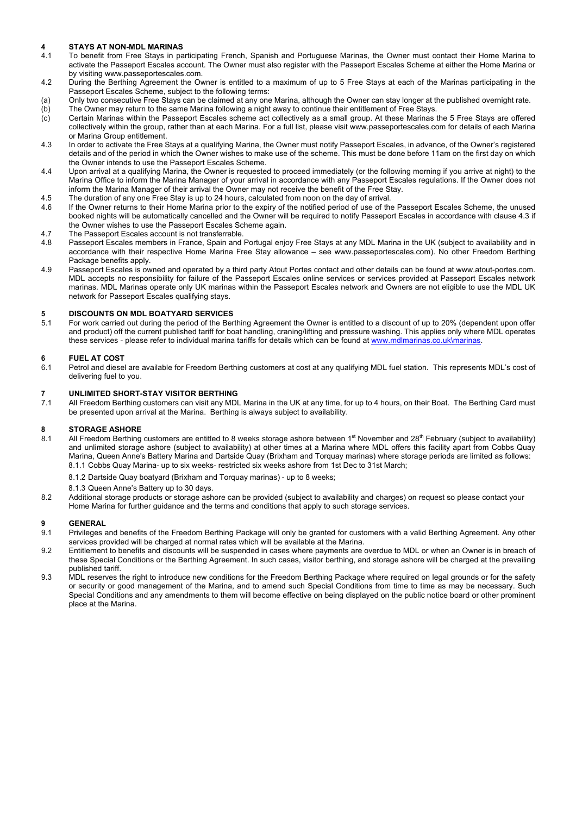# **4 STAYS AT NON-MDL MARINAS**

- 4.1 To benefit from Free Stays in participating French, Spanish and Portuguese Marinas, the Owner must contact their Home Marina to activate the Passeport Escales account. The Owner must also register with the Passeport Escales Scheme at either the Home Marina or by visiting www.passeportescales.com.
- 4.2 During the Berthing Agreement the Owner is entitled to a maximum of up to 5 Free Stays at each of the Marinas participating in the Passeport Escales Scheme, subject to the following terms:
- (a) Only two consecutive Free Stays can be claimed at any one Marina, although the Owner can stay longer at the published overnight rate. (b) The Owner may return to the same Marina following a night away to continue their entitlement of Free Stays.
- (c) Certain Marinas within the Passeport Escales scheme act collectively as a small group. At these Marinas the 5 Free Stays are offered collectively within the group, rather than at each Marina. For a full list, please visit www.passeportescales.com for details of each Marina or Marina Group entitlement.
- 4.3 In order to activate the Free Stays at a qualifying Marina, the Owner must notify Passeport Escales, in advance, of the Owner's registered details and of the period in which the Owner wishes to make use of the scheme. This must be done before 11am on the first day on which the Owner intends to use the Passeport Escales Scheme.
- 4.4 Upon arrival at a qualifying Marina, the Owner is requested to proceed immediately (or the following morning if you arrive at night) to the Marina Office to inform the Marina Manager of your arrival in accordance with any Passeport Escales regulations. If the Owner does not inform the Marina Manager of their arrival the Owner may not receive the benefit of the Free Stay.
- 4.5 The duration of any one Free Stay is up to 24 hours, calculated from noon on the day of arrival.<br>4.6 If the Owner returns to their Home Marina prior to the expiry of the notified period of use of the
- If the Owner returns to their Home Marina prior to the expiry of the notified period of use of the Passeport Escales Scheme, the unused booked nights will be automatically cancelled and the Owner will be required to notify Passeport Escales in accordance with clause 4.3 if the Owner wishes to use the Passeport Escales Scheme again.
- 4.7 The Passeport Escales account is not transferrable.<br>4.8 Passeport Escales members in France, Spain and
- 4.8 Passeport Escales members in France, Spain and Portugal enjoy Free Stays at any MDL Marina in the UK (subject to availability and in accordance with their respective Home Marina Free Stay allowance – see www.passeportescales.com). No other Freedom Berthing Package benefits apply.
- 4.9 Passeport Escales is owned and operated by a third party Atout Portes contact and other details can be found at www.atout-portes.com. MDL accepts no responsibility for failure of the Passeport Escales online services or services provided at Passeport Escales network marinas. MDL Marinas operate only UK marinas within the Passeport Escales network and Owners are not eligible to use the MDL UK network for Passeport Escales qualifying stays.

# **5 DISCOUNTS ON MDL BOATYARD SERVICES**

For work carried out during the period of the Berthing Agreement the Owner is entitled to a discount of up to 20% (dependent upon offer and product) off the current published tariff for boat handling, craning/lifting and pressure washing. This applies only where MDL operates these services - please refer to individual marina tariffs for details which can be found at www.mdlmarinas.co.uk\marinas.

### **6 FUEL AT COST**

6.1 Petrol and diesel are available for Freedom Berthing customers at cost at any qualifying MDL fuel station. This represents MDL's cost of delivering fuel to you.

### **7 UNLIMITED SHORT-STAY VISITOR BERTHING**

All Freedom Berthing customers can visit any MDL Marina in the UK at any time, for up to 4 hours, on their Boat. The Berthing Card must be presented upon arrival at the Marina. Berthing is always subject to availability.

### **8 STORAGE ASHORE**

- All Freedom Berthing customers are entitled to 8 weeks storage ashore between 1<sup>st</sup> November and 28<sup>th</sup> February (subject to availability) and unlimited storage ashore (subject to availability) at other times at a Marina where MDL offers this facility apart from Cobbs Quay Marina, Queen Anne's Battery Marina and Dartside Quay (Brixham and Torquay marinas) where storage periods are limited as follows: 8.1.1 Cobbs Quay Marina- up to six weeks- restricted six weeks ashore from 1st Dec to 31st March;
	- 8.1.2 Dartside Quay boatyard (Brixham and Torquay marinas) up to 8 weeks;
	- 8.1.3 Queen Anne's Battery up to 30 days.
- 8.2 Additional storage products or storage ashore can be provided (subject to availability and charges) on request so please contact your Home Marina for further guidance and the terms and conditions that apply to such storage services.

- 9.1 Privileges and benefits of the Freedom Berthing Package will only be granted for customers with a valid Berthing Agreement. Any other services provided will be charged at normal rates which will be available at the Marina.
- 9.2 Entitlement to benefits and discounts will be suspended in cases where payments are overdue to MDL or when an Owner is in breach of these Special Conditions or the Berthing Agreement. In such cases, visitor berthing, and storage ashore will be charged at the prevailing published tariff.
- 9.3 MDL reserves the right to introduce new conditions for the Freedom Berthing Package where required on legal grounds or for the safety or security or good management of the Marina, and to amend such Special Conditions from time to time as may be necessary. Such Special Conditions and any amendments to them will become effective on being displayed on the public notice board or other prominent place at the Marina.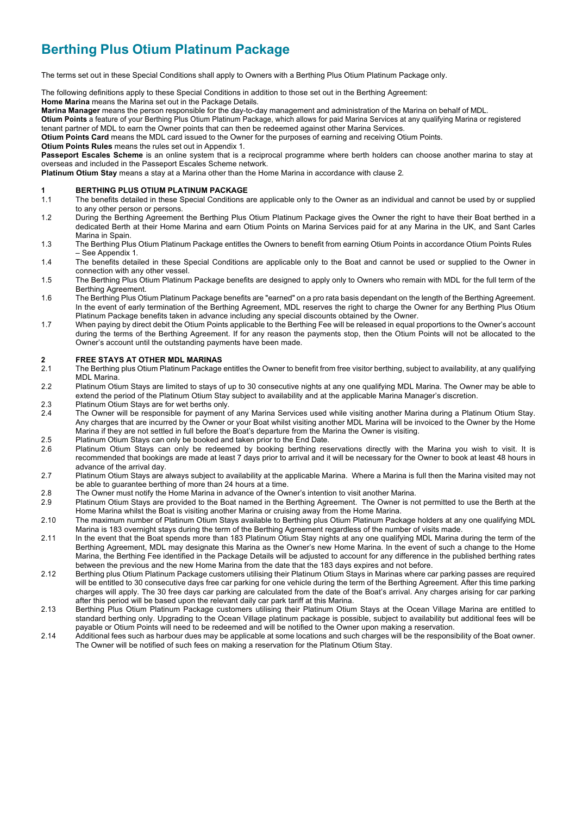## **Berthing Plus Otium Platinum Package**

The terms set out in these Special Conditions shall apply to Owners with a Berthing Plus Otium Platinum Package only.

The following definitions apply to these Special Conditions in addition to those set out in the Berthing Agreement:

**Home Marina** means the Marina set out in the Package Details.

**Marina Manager** means the person responsible for the day-to-day management and administration of the Marina on behalf of MDL.

**Otium Points** a feature of your Berthing Plus Otium Platinum Package, which allows for paid Marina Services at any qualifying Marina or registered tenant partner of MDL to earn the Owner points that can then be redeemed against other Marina Services.

**Otium Points Card** means the MDL card issued to the Owner for the purposes of earning and receiving Otium Points.

**Otium Points Rules** means the rules set out in Appendix 1.

**Passeport Escales Scheme** is an online system that is a reciprocal programme where berth holders can choose another marina to stay at overseas and included in the Passeport Escales Scheme network.

**Platinum Otium Stay** means a stay at a Marina other than the Home Marina in accordance with clause 2.

#### **1 BERTHING PLUS OTIUM PLATINUM PACKAGE**

- 1.1 The benefits detailed in these Special Conditions are applicable only to the Owner as an individual and cannot be used by or supplied to any other person or persons.
- 1.2 During the Berthing Agreement the Berthing Plus Otium Platinum Package gives the Owner the right to have their Boat berthed in a dedicated Berth at their Home Marina and earn Otium Points on Marina Services paid for at any Marina in the UK, and Sant Carles Marina in Spain.
- 1.3 The Berthing Plus Otium Platinum Package entitles the Owners to benefit from earning Otium Points in accordance Otium Points Rules – See Appendix 1.
- 1.4 The benefits detailed in these Special Conditions are applicable only to the Boat and cannot be used or supplied to the Owner in connection with any other vessel.
- 1.5 The Berthing Plus Otium Platinum Package benefits are designed to apply only to Owners who remain with MDL for the full term of the Berthing Agreement.
- 1.6 The Berthing Plus Otium Platinum Package benefits are "earned" on a pro rata basis dependant on the length of the Berthing Agreement. In the event of early termination of the Berthing Agreement, MDL reserves the right to charge the Owner for any Berthing Plus Otium Platinum Package benefits taken in advance including any special discounts obtained by the Owner.
- 1.7 When paying by direct debit the Otium Points applicable to the Berthing Fee will be released in equal proportions to the Owner's account during the terms of the Berthing Agreement. If for any reason the payments stop, then the Otium Points will not be allocated to the Owner's account until the outstanding payments have been made.

#### **2 FREE STAYS AT OTHER MDL MARINAS**

- 2.1 The Berthing plus Otium Platinum Package entitles the Owner to benefit from free visitor berthing, subject to availability, at any qualifying MDL Marina.
- 2.2 Platinum Otium Stays are limited to stays of up to 30 consecutive nights at any one qualifying MDL Marina. The Owner may be able to extend the period of the Platinum Otium Stay subject to availability and at the applicable Marina Manager's discretion.
- 2.3 Platinum Otium Stays are for wet berths only.<br>2.4 The Owner will be responsible for payment of
- 2.4 The Owner will be responsible for payment of any Marina Services used while visiting another Marina during a Platinum Otium Stay. Any charges that are incurred by the Owner or your Boat whilst visiting another MDL Marina will be invoiced to the Owner by the Home Marina if they are not settled in full before the Boat's departure from the Marina the Owner is visiting.
- 2.5 Platinum Otium Stays can only be booked and taken prior to the End Date.<br>2.6 Platinum Otium Stays can only be redeemed by booking berthing res
- Platinum Otium Stays can only be redeemed by booking berthing reservations directly with the Marina you wish to visit. It is recommended that bookings are made at least 7 days prior to arrival and it will be necessary for the Owner to book at least 48 hours in advance of the arrival day.
- 2.7 Platinum Otium Stays are always subject to availability at the applicable Marina. Where a Marina is full then the Marina visited may not be able to guarantee berthing of more than 24 hours at a time.
- 2.8 The Owner must notify the Home Marina in advance of the Owner's intention to visit another Marina.
- 2.9 Platinum Otium Stays are provided to the Boat named in the Berthing Agreement. The Owner is not permitted to use the Berth at the Home Marina whilst the Boat is visiting another Marina or cruising away from the Home Marina.
- 2.10 The maximum number of Platinum Otium Stays available to Berthing plus Otium Platinum Package holders at any one qualifying MDL Marina is 183 overnight stays during the term of the Berthing Agreement regardless of the number of visits made.
- 2.11 In the event that the Boat spends more than 183 Platinum Otium Stay nights at any one qualifying MDL Marina during the term of the Berthing Agreement, MDL may designate this Marina as the Owner's new Home Marina. In the event of such a change to the Home Marina, the Berthing Fee identified in the Package Details will be adjusted to account for any difference in the published berthing rates between the previous and the new Home Marina from the date that the 183 days expires and not before.
- 2.12 Berthing plus Otium Platinum Package customers utilising their Platinum Otium Stays in Marinas where car parking passes are required will be entitled to 30 consecutive days free car parking for one vehicle during the term of the Berthing Agreement. After this time parking charges will apply. The 30 free days car parking are calculated from the date of the Boat's arrival. Any charges arising for car parking after this period will be based upon the relevant daily car park tariff at this Marina.
- 2.13 Berthing Plus Otium Platinum Package customers utilising their Platinum Otium Stays at the Ocean Village Marina are entitled to standard berthing only. Upgrading to the Ocean Village platinum package is possible, subject to availability but additional fees will be payable or Otium Points will need to be redeemed and will be notified to the Owner upon making a reservation.
- 2.14 Additional fees such as harbour dues may be applicable at some locations and such charges will be the responsibility of the Boat owner. The Owner will be notified of such fees on making a reservation for the Platinum Otium Stay.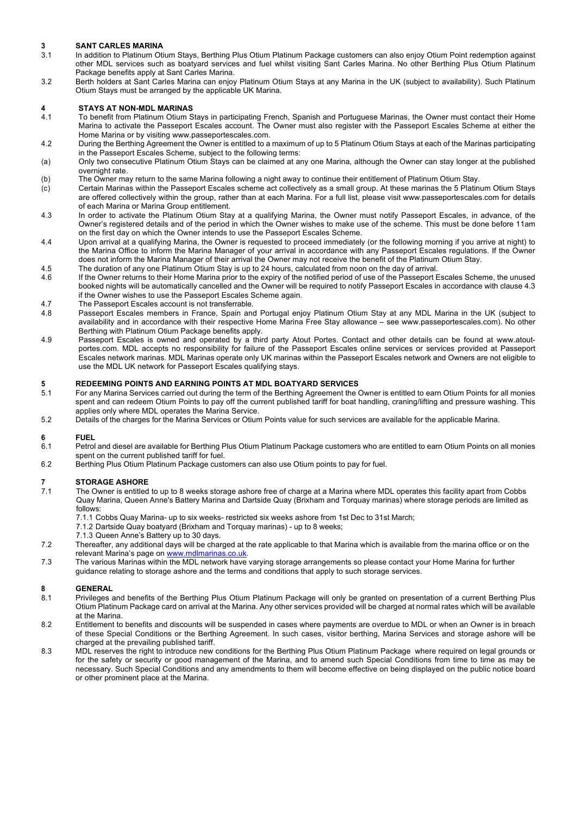### **3 SANT CARLES MARINA**

- In addition to Platinum Otium Stays, Berthing Plus Otium Platinum Package customers can also enjoy Otium Point redemption against other MDL services such as boatyard services and fuel whilst visiting Sant Carles Marina. No other Berthing Plus Otium Platinum Package benefits apply at Sant Carles Marina.
- 3.2 Berth holders at Sant Carles Marina can enjoy Platinum Otium Stays at any Marina in the UK (subject to availability). Such Platinum Otium Stays must be arranged by the applicable UK Marina.

### **4 STAYS AT NON-MDL MARINAS**

- 4.1 To benefit from Platinum Otium Stays in participating French, Spanish and Portuguese Marinas, the Owner must contact their Home Marina to activate the Passeport Escales account. The Owner must also register with the Passeport Escales Scheme at either the Home Marina or by visiting www.passeportescales.com.
- 4.2 During the Berthing Agreement the Owner is entitled to a maximum of up to 5 Platinum Otium Stays at each of the Marinas participating in the Passeport Escales Scheme, subject to the following terms:
- (a) Only two consecutive Platinum Otium Stays can be claimed at any one Marina, although the Owner can stay longer at the published overnight rate.
- (b) The Owner may return to the same Marina following a night away to continue their entitlement of Platinum Otium Stay.
- Certain Marinas within the Passeport Escales scheme act collectively as a small group. At these marinas the 5 Platinum Otium Stays are offered collectively within the group, rather than at each Marina. For a full list, please visit www.passeportescales.com for details of each Marina or Marina Group entitlement.
- 4.3 In order to activate the Platinum Otium Stay at a qualifying Marina, the Owner must notify Passeport Escales, in advance, of the Owner's registered details and of the period in which the Owner wishes to make use of the scheme. This must be done before 11am on the first day on which the Owner intends to use the Passeport Escales Scheme.
- 4.4 Upon arrival at a qualifying Marina, the Owner is requested to proceed immediately (or the following morning if you arrive at night) to the Marina Office to inform the Marina Manager of your arrival in accordance with any Passeport Escales regulations. If the Owner does not inform the Marina Manager of their arrival the Owner may not receive the benefit of the Platinum Otium Stay.
- 4.5 The duration of any one Platinum Otium Stay is up to 24 hours, calculated from noon on the day of arrival.
- 4.6 If the Owner returns to their Home Marina prior to the expiry of the notified period of use of the Passeport Escales Scheme, the unused booked nights will be automatically cancelled and the Owner will be required to notify Passeport Escales in accordance with clause 4.3 if the Owner wishes to use the Passeport Escales Scheme again.
- 4.7 The Passeport Escales account is not transferrable.<br>4.8 Passeport Escales members in France, Spain and
- Passeport Escales members in France, Spain and Portugal enjoy Platinum Otium Stay at any MDL Marina in the UK (subject to availability and in accordance with their respective Home Marina Free Stay allowance – see www.passeportescales.com). No other Berthing with Platinum Otium Package benefits apply.
- 4.9 Passeport Escales is owned and operated by a third party Atout Portes. Contact and other details can be found at www.atoutportes.com. MDL accepts no responsibility for failure of the Passeport Escales online services or services provided at Passeport Escales network marinas. MDL Marinas operate only UK marinas within the Passeport Escales network and Owners are not eligible to use the MDL UK network for Passeport Escales qualifying stays.

### **5 REDEEMING POINTS AND EARNING POINTS AT MDL BOATYARD SERVICES**

- For any Marina Services carried out during the term of the Berthing Agreement the Owner is entitled to earn Otium Points for all monies spent and can redeem Otium Points to pay off the current published tariff for boat handling, craning/lifting and pressure washing. This applies only where MDL operates the Marina Service.
- 5.2 Details of the charges for the Marina Services or Otium Points value for such services are available for the applicable Marina.

#### **6 FUEL**

- 6.1 Petrol and diesel are available for Berthing Plus Otium Platinum Package customers who are entitled to earn Otium Points on all monies spent on the current published tariff for fuel.
- 6.2 Berthing Plus Otium Platinum Package customers can also use Otium points to pay for fuel.

# **7 STORAGE ASHORE**

- The Owner is entitled to up to 8 weeks storage ashore free of charge at a Marina where MDL operates this facility apart from Cobbs Quay Marina, Queen Anne's Battery Marina and Dartside Quay (Brixham and Torquay marinas) where storage periods are limited as follows:
	- 7.1.1 Cobbs Quay Marina- up to six weeks- restricted six weeks ashore from 1st Dec to 31st March;
	- 7.1.2 Dartside Quay boatyard (Brixham and Torquay marinas) up to 8 weeks;
	- 7.1.3 Queen Anne's Battery up to 30 days.
- 7.2 Thereafter, any additional days will be charged at the rate applicable to that Marina which is available from the marina office or on the relevant Marina's page on www.mdlmarinas.co.uk
- 7.3 The various Marinas within the MDL network have varying storage arrangements so please contact your Home Marina for further guidance relating to storage ashore and the terms and conditions that apply to such storage services.

- Privileges and benefits of the Berthing Plus Otium Platinum Package will only be granted on presentation of a current Berthing Plus Otium Platinum Package card on arrival at the Marina. Any other services provided will be charged at normal rates which will be available at the Marina.
- 8.2 Entitlement to benefits and discounts will be suspended in cases where payments are overdue to MDL or when an Owner is in breach of these Special Conditions or the Berthing Agreement. In such cases, visitor berthing, Marina Services and storage ashore will be charged at the prevailing published tariff.
- 8.3 MDL reserves the right to introduce new conditions for the Berthing Plus Otium Platinum Package where required on legal grounds or for the safety or security or good management of the Marina, and to amend such Special Conditions from time to time as may be necessary. Such Special Conditions and any amendments to them will become effective on being displayed on the public notice board or other prominent place at the Marina.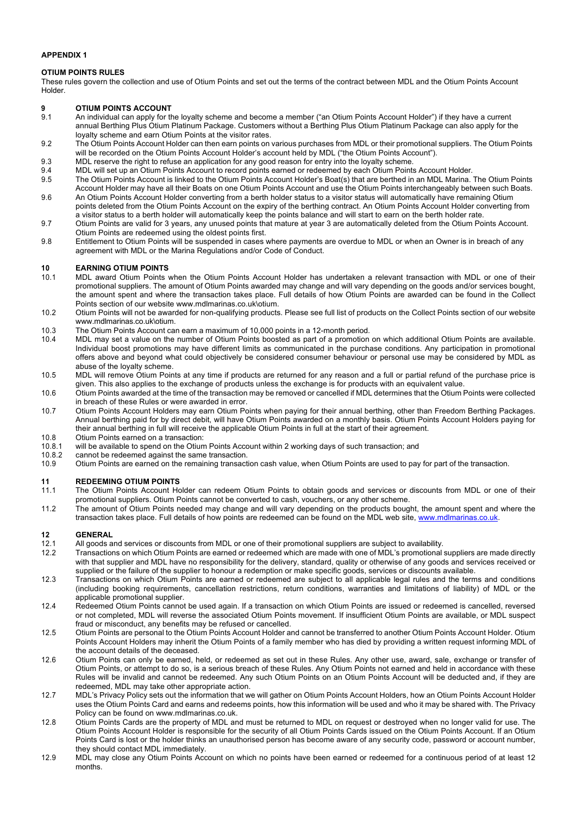### **APPENDIX 1**

### **OTIUM POINTS RULES**

These rules govern the collection and use of Otium Points and set out the terms of the contract between MDL and the Otium Points Account Holder.

### **9 OTIUM POINTS ACCOUNT**<br>**9.1** An individual can apply for the

- 9.1 An individual can apply for the loyalty scheme and become a member ("an Otium Points Account Holder") if they have a current annual Berthing Plus Otium Platinum Package. Customers without a Berthing Plus Otium Platinum Package can also apply for the loyalty scheme and earn Otium Points at the visitor rates.
- 9.2 The Otium Points Account Holder can then earn points on various purchases from MDL or their promotional suppliers. The Otium Points will be recorded on the Otium Points Account Holder's account held by MDL ("the Otium Points Account").
- 9.3 MDL reserve the right to refuse an application for any good reason for entry into the loyalty scheme.
- 9.4 MDL will set up an Otium Points Account to record points earned or redeemed by each Otium Points Account Holder.
- 9.5 The Otium Points Account is linked to the Otium Points Account Holder's Boat(s) that are berthed in an MDL Marina. The Otium Points Account Holder may have all their Boats on one Otium Points Account and use the Otium Points interchangeably between such Boats. 9.6 An Otium Points Account Holder converting from a berth holder status to a visitor status will automatically have remaining Otium
- points deleted from the Otium Points Account on the expiry of the berthing contract. An Otium Points Account Holder converting from a visitor status to a berth holder will automatically keep the points balance and will start to earn on the berth holder rate.
- 9.7 Otium Points are valid for 3 years, any unused points that mature at year 3 are automatically deleted from the Otium Points Account. Otium Points are redeemed using the oldest points first.
- 9.8 Entitlement to Otium Points will be suspended in cases where payments are overdue to MDL or when an Owner is in breach of any agreement with MDL or the Marina Regulations and/or Code of Conduct.

### **10 EARNING OTIUM POINTS**

- 10.1 MDL award Otium Points when the Otium Points Account Holder has undertaken a relevant transaction with MDL or one of their promotional suppliers. The amount of Otium Points awarded may change and will vary depending on the goods and/or services bought, the amount spent and where the transaction takes place. Full details of how Otium Points are awarded can be found in the Collect Points section of our website www.mdlmarinas.co.uk\otium.
- 10.2 Otium Points will not be awarded for non-qualifying products. Please see full list of products on the Collect Points section of our website www.mdlmarinas.co.uk\otium.
- 10.3 The Otium Points Account can earn a maximum of 10,000 points in a 12-month period.
- 10.4 MDL may set a value on the number of Otium Points boosted as part of a promotion on which additional Otium Points are available. Individual boost promotions may have different limits as communicated in the purchase conditions. Any participation in promotional offers above and beyond what could objectively be considered consumer behaviour or personal use may be considered by MDL as abuse of the loyalty scheme.
- 10.5 MDL will remove Otium Points at any time if products are returned for any reason and a full or partial refund of the purchase price is given. This also applies to the exchange of products unless the exchange is for products with an equivalent value.
- 10.6 Otium Points awarded at the time of the transaction may be removed or cancelled if MDL determines that the Otium Points were collected in breach of these Rules or were awarded in error.
- 10.7 Otium Points Account Holders may earn Otium Points when paying for their annual berthing, other than Freedom Berthing Packages. Annual berthing paid for by direct debit, will have Otium Points awarded on a monthly basis. Otium Points Account Holders paying for their annual berthing in full will receive the applicable Otium Points in full at the start of their agreement.
- 10.8 Otium Points earned on a transaction:<br>10.8.1 will be available to spend on the Otium 10.8.1 will be available to spend on the Otium Points Account within 2 working days of such transaction; and <br>10.8.2 cannot be redeemed against the same transaction.
- cannot be redeemed against the same transaction.
- 10.9 Otium Points are earned on the remaining transaction cash value, when Otium Points are used to pay for part of the transaction.

#### **11 REDEEMING OTIUM POINTS**

- 11.1 The Otium Points Account Holder can redeem Otium Points to obtain goods and services or discounts from MDL or one of their promotional suppliers. Otium Points cannot be converted to cash, vouchers, or any other scheme.
- 11.2 The amount of Otium Points needed may change and will vary depending on the products bought, the amount spent and where the transaction takes place. Full details of how points are redeemed can be found on the MDL web site, www.mdlmarinas.co.uk.

- All goods and services or discounts from MDL or one of their promotional suppliers are subject to availability.
- 12.2 Transactions on which Otium Points are earned or redeemed which are made with one of MDL's promotional suppliers are made directly with that supplier and MDL have no responsibility for the delivery, standard, quality or otherwise of any goods and services received or supplied or the failure of the supplier to honour a redemption or make specific goods, services or discounts available.
- 12.3 Transactions on which Otium Points are earned or redeemed are subject to all applicable legal rules and the terms and conditions (including booking requirements, cancellation restrictions, return conditions, warranties and limitations of liability) of MDL or the applicable promotional supplier.
- 12.4 Redeemed Otium Points cannot be used again. If a transaction on which Otium Points are issued or redeemed is cancelled, reversed or not completed, MDL will reverse the associated Otium Points movement. If insufficient Otium Points are available, or MDL suspect fraud or misconduct, any benefits may be refused or cancelled.
- 12.5 Otium Points are personal to the Otium Points Account Holder and cannot be transferred to another Otium Points Account Holder. Otium Points Account Holders may inherit the Otium Points of a family member who has died by providing a written request informing MDL of the account details of the deceased.
- 12.6 Otium Points can only be earned, held, or redeemed as set out in these Rules. Any other use, award, sale, exchange or transfer of Otium Points, or attempt to do so, is a serious breach of these Rules. Any Otium Points not earned and held in accordance with these Rules will be invalid and cannot be redeemed. Any such Otium Points on an Otium Points Account will be deducted and, if they are redeemed, MDL may take other appropriate action.
- 12.7 MDL's Privacy Policy sets out the information that we will gather on Otium Points Account Holders, how an Otium Points Account Holder uses the Otium Points Card and earns and redeems points, how this information will be used and who it may be shared with. The Privacy Policy can be found on www.mdlmarinas.co.uk.
- 12.8 Otium Points Cards are the property of MDL and must be returned to MDL on request or destroyed when no longer valid for use. The Otium Points Account Holder is responsible for the security of all Otium Points Cards issued on the Otium Points Account. If an Otium Points Card is lost or the holder thinks an unauthorised person has become aware of any security code, password or account number, they should contact MDL immediately.
- 12.9 MDL may close any Otium Points Account on which no points have been earned or redeemed for a continuous period of at least 12 months.